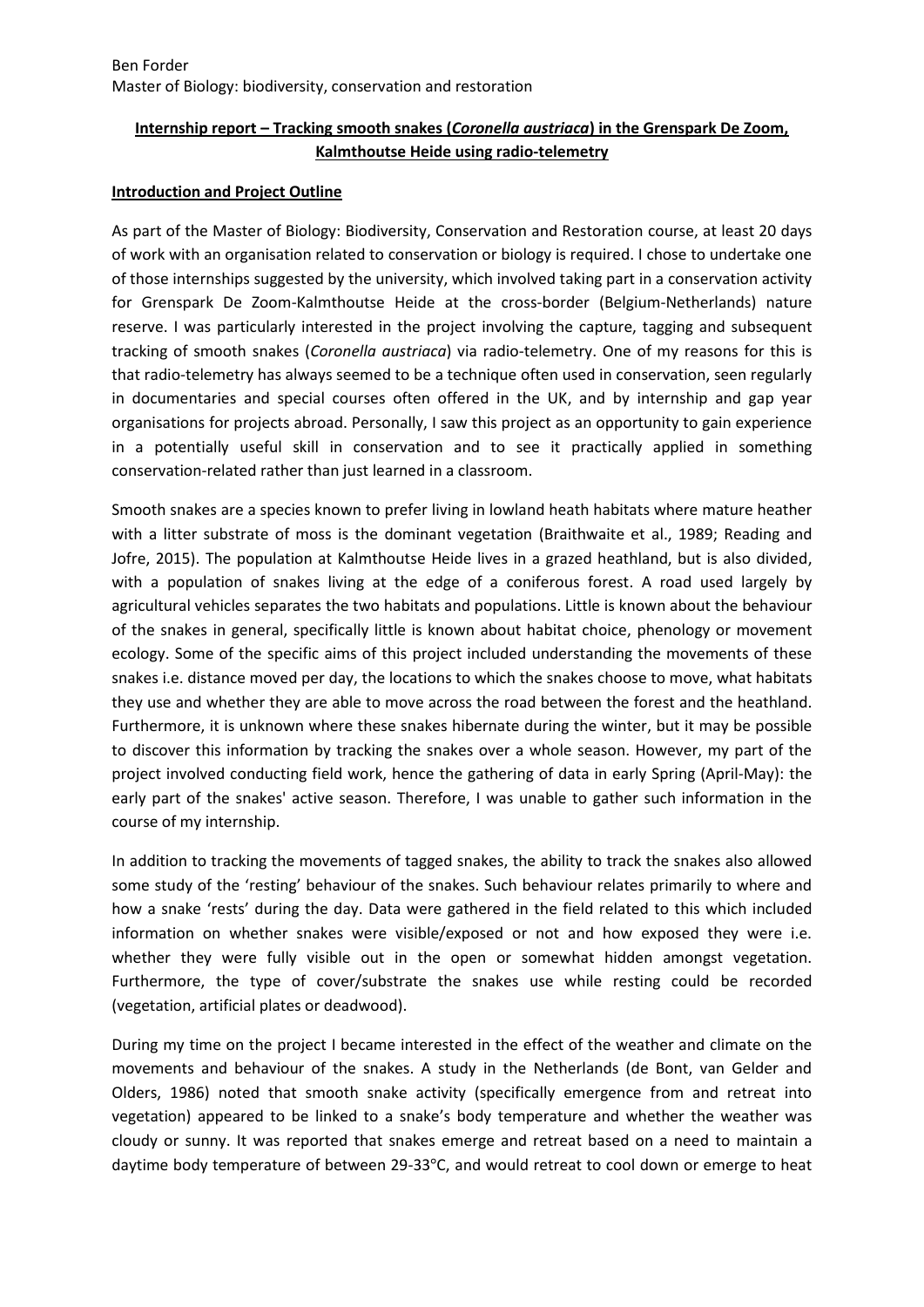# **Internship report – Tracking smooth snakes (***Coronella austriaca***) in the Grenspark De Zoom, Kalmthoutse Heide using radio-telemetry**

### **Introduction and Project Outline**

As part of the Master of Biology: Biodiversity, Conservation and Restoration course, at least 20 days of work with an organisation related to conservation or biology is required. I chose to undertake one of those internships suggested by the university, which involved taking part in a conservation activity for Grenspark De Zoom-Kalmthoutse Heide at the cross-border (Belgium-Netherlands) nature reserve. I was particularly interested in the project involving the capture, tagging and subsequent tracking of smooth snakes (*Coronella austriaca*) via radio-telemetry. One of my reasons for this is that radio-telemetry has always seemed to be a technique often used in conservation, seen regularly in documentaries and special courses often offered in the UK, and by internship and gap year organisations for projects abroad. Personally, I saw this project as an opportunity to gain experience in a potentially useful skill in conservation and to see it practically applied in something conservation-related rather than just learned in a classroom.

Smooth snakes are a species known to prefer living in lowland heath habitats where mature heather with a litter substrate of moss is the dominant vegetation (Braithwaite et al., 1989; Reading and Jofre, 2015). The population at Kalmthoutse Heide lives in a grazed heathland, but is also divided, with a population of snakes living at the edge of a coniferous forest. A road used largely by agricultural vehicles separates the two habitats and populations. Little is known about the behaviour of the snakes in general, specifically little is known about habitat choice, phenology or movement ecology. Some of the specific aims of this project included understanding the movements of these snakes i.e. distance moved per day, the locations to which the snakes choose to move, what habitats they use and whether they are able to move across the road between the forest and the heathland. Furthermore, it is unknown where these snakes hibernate during the winter, but it may be possible to discover this information by tracking the snakes over a whole season. However, my part of the project involved conducting field work, hence the gathering of data in early Spring (April-May): the early part of the snakes' active season. Therefore, I was unable to gather such information in the course of my internship.

In addition to tracking the movements of tagged snakes, the ability to track the snakes also allowed some study of the 'resting' behaviour of the snakes. Such behaviour relates primarily to where and how a snake 'rests' during the day. Data were gathered in the field related to this which included information on whether snakes were visible/exposed or not and how exposed they were i.e. whether they were fully visible out in the open or somewhat hidden amongst vegetation. Furthermore, the type of cover/substrate the snakes use while resting could be recorded (vegetation, artificial plates or deadwood).

During my time on the project I became interested in the effect of the weather and climate on the movements and behaviour of the snakes. A study in the Netherlands (de Bont, van Gelder and Olders, 1986) noted that smooth snake activity (specifically emergence from and retreat into vegetation) appeared to be linked to a snake's body temperature and whether the weather was cloudy or sunny. It was reported that snakes emerge and retreat based on a need to maintain a daytime body temperature of between 29-33°C, and would retreat to cool down or emerge to heat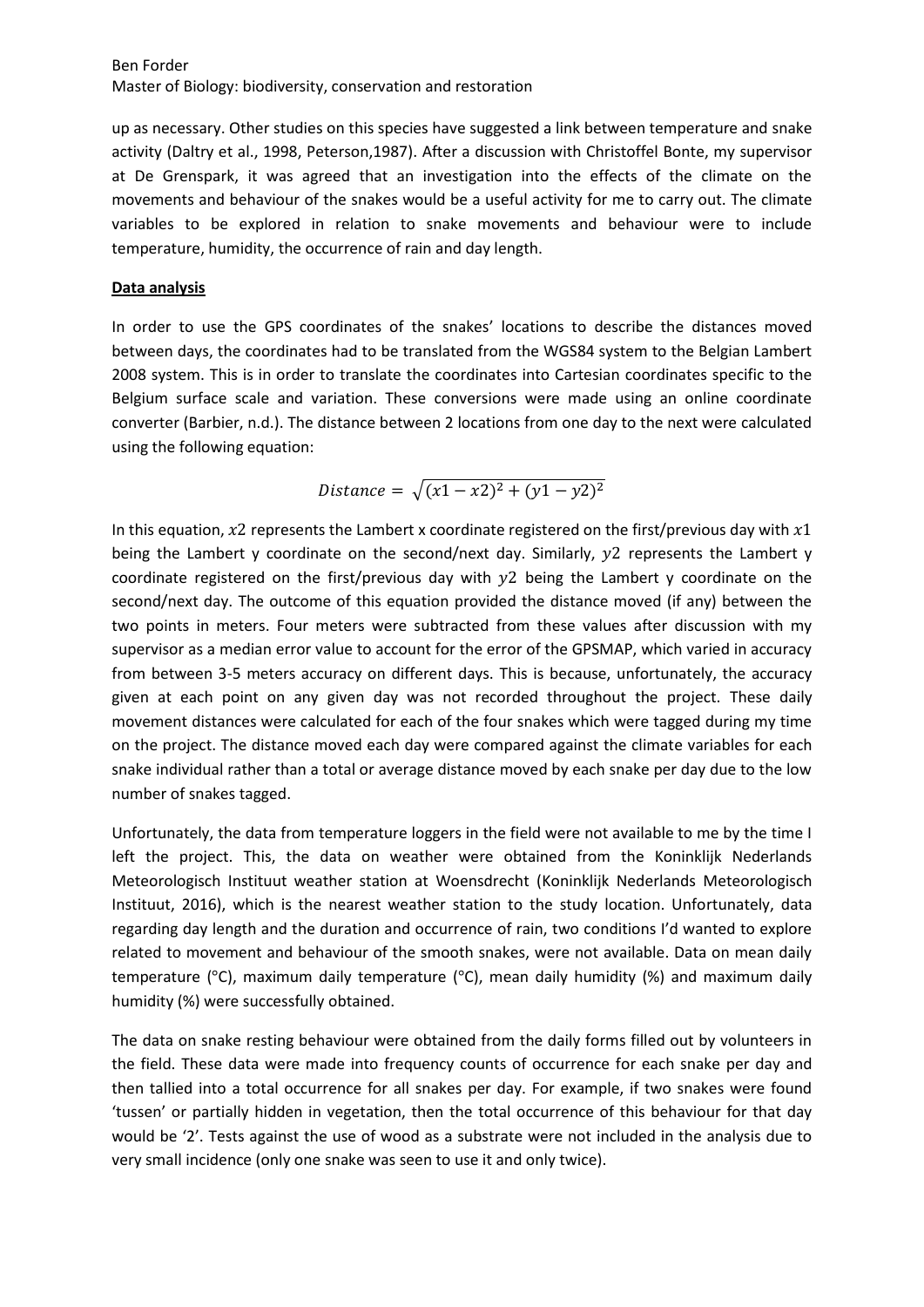up as necessary. Other studies on this species have suggested a link between temperature and snake activity (Daltry et al., 1998, Peterson,1987). After a discussion with Christoffel Bonte, my supervisor at De Grenspark, it was agreed that an investigation into the effects of the climate on the movements and behaviour of the snakes would be a useful activity for me to carry out. The climate variables to be explored in relation to snake movements and behaviour were to include temperature, humidity, the occurrence of rain and day length.

### **Data analysis**

In order to use the GPS coordinates of the snakes' locations to describe the distances moved between days, the coordinates had to be translated from the WGS84 system to the Belgian Lambert 2008 system. This is in order to translate the coordinates into Cartesian coordinates specific to the Belgium surface scale and variation. These conversions were made using an online coordinate converter (Barbier, n.d.). The distance between 2 locations from one day to the next were calculated using the following equation:

Distance = 
$$
\sqrt{(x1 - x2)^2 + (y1 - y2)^2}
$$

In this equation,  $x^2$  represents the Lambert x coordinate registered on the first/previous day with  $x^1$ being the Lambert y coordinate on the second/next day. Similarly,  $y2$  represents the Lambert y coordinate registered on the first/previous day with  $y2$  being the Lambert y coordinate on the second/next day. The outcome of this equation provided the distance moved (if any) between the two points in meters. Four meters were subtracted from these values after discussion with my supervisor as a median error value to account for the error of the GPSMAP, which varied in accuracy from between 3-5 meters accuracy on different days. This is because, unfortunately, the accuracy given at each point on any given day was not recorded throughout the project. These daily movement distances were calculated for each of the four snakes which were tagged during my time on the project. The distance moved each day were compared against the climate variables for each snake individual rather than a total or average distance moved by each snake per day due to the low number of snakes tagged.

Unfortunately, the data from temperature loggers in the field were not available to me by the time I left the project. This, the data on weather were obtained from the Koninklijk Nederlands Meteorologisch Instituut weather station at Woensdrecht (Koninklijk Nederlands Meteorologisch Instituut, 2016), which is the nearest weather station to the study location. Unfortunately, data regarding day length and the duration and occurrence of rain, two conditions I'd wanted to explore related to movement and behaviour of the smooth snakes, were not available. Data on mean daily temperature ( $\degree$ C), maximum daily temperature ( $\degree$ C), mean daily humidity (%) and maximum daily humidity (%) were successfully obtained.

The data on snake resting behaviour were obtained from the daily forms filled out by volunteers in the field. These data were made into frequency counts of occurrence for each snake per day and then tallied into a total occurrence for all snakes per day. For example, if two snakes were found 'tussen' or partially hidden in vegetation, then the total occurrence of this behaviour for that day would be '2'. Tests against the use of wood as a substrate were not included in the analysis due to very small incidence (only one snake was seen to use it and only twice).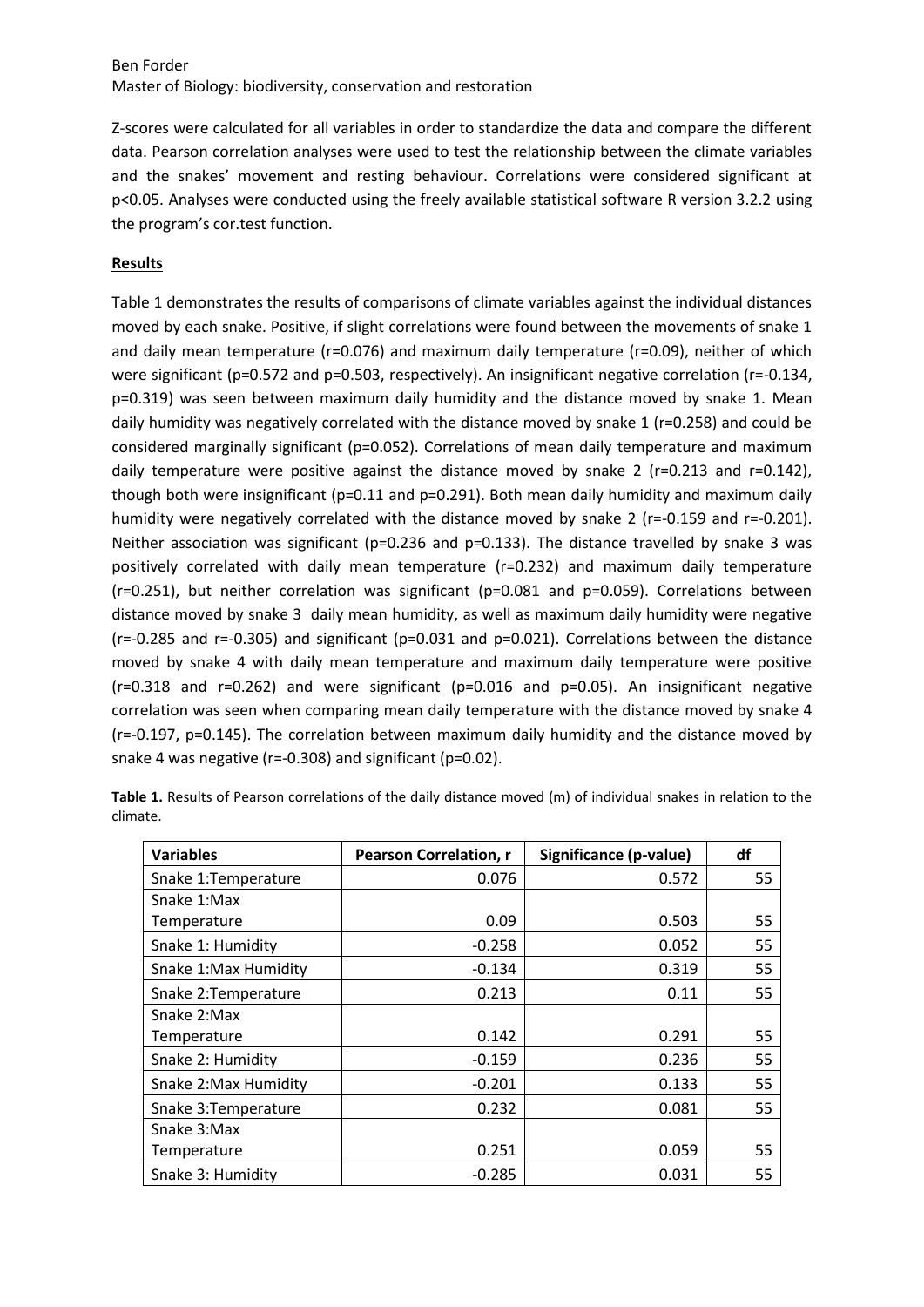Z-scores were calculated for all variables in order to standardize the data and compare the different data. Pearson correlation analyses were used to test the relationship between the climate variables and the snakes' movement and resting behaviour. Correlations were considered significant at p<0.05. Analyses were conducted using the freely available statistical software R version 3.2.2 using the program's cor.test function.

## **Results**

Table 1 demonstrates the results of comparisons of climate variables against the individual distances moved by each snake. Positive, if slight correlations were found between the movements of snake 1 and daily mean temperature (r=0.076) and maximum daily temperature (r=0.09), neither of which were significant (p=0.572 and p=0.503, respectively). An insignificant negative correlation (r=-0.134, p=0.319) was seen between maximum daily humidity and the distance moved by snake 1. Mean daily humidity was negatively correlated with the distance moved by snake 1 (r=0.258) and could be considered marginally significant (p=0.052). Correlations of mean daily temperature and maximum daily temperature were positive against the distance moved by snake 2 (r=0.213 and r=0.142), though both were insignificant ( $p=0.11$  and  $p=0.291$ ). Both mean daily humidity and maximum daily humidity were negatively correlated with the distance moved by snake 2 (r=-0.159 and r=-0.201). Neither association was significant ( $p=0.236$  and  $p=0.133$ ). The distance travelled by snake 3 was positively correlated with daily mean temperature (r=0.232) and maximum daily temperature  $(r=0.251)$ , but neither correlation was significant (p=0.081 and p=0.059). Correlations between distance moved by snake 3 daily mean humidity, as well as maximum daily humidity were negative (r=-0.285 and r=-0.305) and significant (p=0.031 and p=0.021). Correlations between the distance moved by snake 4 with daily mean temperature and maximum daily temperature were positive (r=0.318 and r=0.262) and were significant (p=0.016 and p=0.05). An insignificant negative correlation was seen when comparing mean daily temperature with the distance moved by snake 4 (r=-0.197, p=0.145). The correlation between maximum daily humidity and the distance moved by snake 4 was negative (r=-0.308) and significant (p=0.02).

| <b>Variables</b>      | <b>Pearson Correlation, r</b> | Significance (p-value) | df |
|-----------------------|-------------------------------|------------------------|----|
| Snake 1: Temperature  | 0.076                         | 0.572                  | 55 |
| Snake 1:Max           |                               |                        |    |
| Temperature           | 0.09                          | 0.503                  | 55 |
| Snake 1: Humidity     | $-0.258$                      | 0.052                  | 55 |
| Snake 1: Max Humidity | $-0.134$                      | 0.319                  | 55 |
| Snake 2: Temperature  | 0.213                         | 0.11                   | 55 |
| Snake 2:Max           |                               |                        |    |
| Temperature           | 0.142                         | 0.291                  | 55 |
| Snake 2: Humidity     | $-0.159$                      | 0.236                  | 55 |
| Snake 2: Max Humidity | $-0.201$                      | 0.133                  | 55 |
| Snake 3: Temperature  | 0.232                         | 0.081                  | 55 |
| Snake 3:Max           |                               |                        |    |
| Temperature           | 0.251                         | 0.059                  | 55 |
| Snake 3: Humidity     | $-0.285$                      | 0.031                  | 55 |

**Table 1.** Results of Pearson correlations of the daily distance moved (m) of individual snakes in relation to the climate.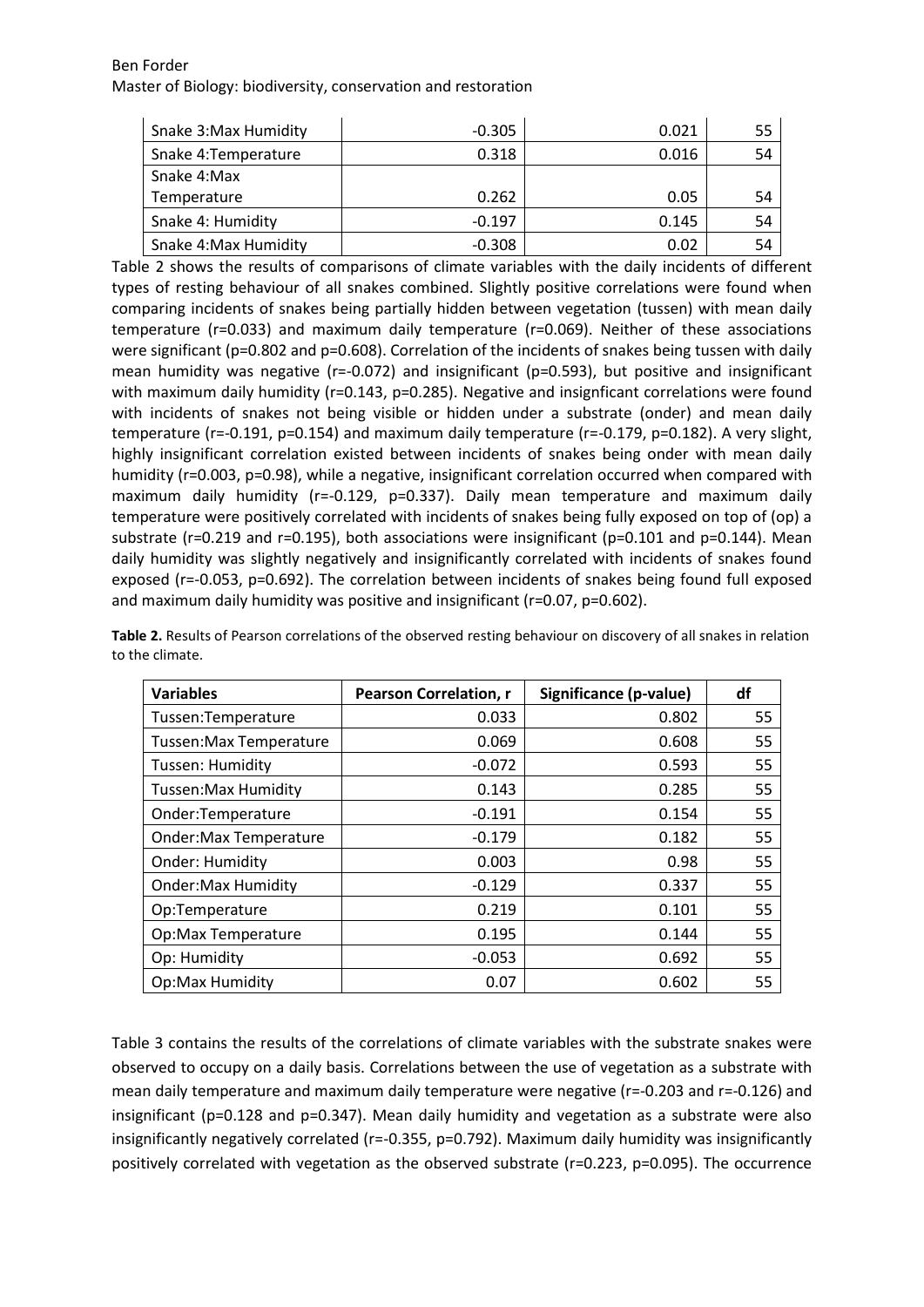| Snake 3: Max Humidity | $-0.305$ | 0.021 | 55 |
|-----------------------|----------|-------|----|
| Snake 4: Temperature  | 0.318    | 0.016 | 54 |
| Snake 4:Max           |          |       |    |
| Temperature           | 0.262    | 0.05  | 54 |
| Snake 4: Humidity     | $-0.197$ | 0.145 | 54 |
| Snake 4: Max Humidity | $-0.308$ | 0.02  | 54 |

Table 2 shows the results of comparisons of climate variables with the daily incidents of different types of resting behaviour of all snakes combined. Slightly positive correlations were found when comparing incidents of snakes being partially hidden between vegetation (tussen) with mean daily temperature (r=0.033) and maximum daily temperature (r=0.069). Neither of these associations were significant (p=0.802 and p=0.608). Correlation of the incidents of snakes being tussen with daily mean humidity was negative ( $r=-0.072$ ) and insignificant ( $p=0.593$ ), but positive and insignificant with maximum daily humidity (r=0.143, p=0.285). Negative and insignficant correlations were found with incidents of snakes not being visible or hidden under a substrate (onder) and mean daily temperature (r=-0.191, p=0.154) and maximum daily temperature (r=-0.179, p=0.182). A very slight, highly insignificant correlation existed between incidents of snakes being onder with mean daily humidity (r=0.003, p=0.98), while a negative, insignificant correlation occurred when compared with maximum daily humidity (r=-0.129, p=0.337). Daily mean temperature and maximum daily temperature were positively correlated with incidents of snakes being fully exposed on top of (op) a substrate (r=0.219 and r=0.195), both associations were insignificant (p=0.101 and p=0.144). Mean daily humidity was slightly negatively and insignificantly correlated with incidents of snakes found exposed (r=-0.053, p=0.692). The correlation between incidents of snakes being found full exposed and maximum daily humidity was positive and insignificant (r=0.07, p=0.602).

**Table 2.** Results of Pearson correlations of the observed resting behaviour on discovery of all snakes in relation to the climate.

| <b>Variables</b>              | <b>Pearson Correlation, r</b> | Significance (p-value) | df |
|-------------------------------|-------------------------------|------------------------|----|
| Tussen:Temperature            | 0.033                         | 0.802                  | 55 |
| <b>Tussen:Max Temperature</b> | 0.069                         | 0.608                  | 55 |
| Tussen: Humidity              | $-0.072$                      | 0.593                  | 55 |
| Tussen: Max Humidity          | 0.143                         | 0.285                  | 55 |
| Onder:Temperature             | $-0.191$                      | 0.154                  | 55 |
| <b>Onder:Max Temperature</b>  | $-0.179$                      | 0.182                  | 55 |
| <b>Onder: Humidity</b>        | 0.003                         | 0.98                   | 55 |
| <b>Onder: Max Humidity</b>    | $-0.129$                      | 0.337                  | 55 |
| Op:Temperature                | 0.219                         | 0.101                  | 55 |
| Op:Max Temperature            | 0.195                         | 0.144                  | 55 |
| Op: Humidity                  | $-0.053$                      | 0.692                  | 55 |
| <b>Op:Max Humidity</b>        | 0.07                          | 0.602                  | 55 |

Table 3 contains the results of the correlations of climate variables with the substrate snakes were observed to occupy on a daily basis. Correlations between the use of vegetation as a substrate with mean daily temperature and maximum daily temperature were negative (r=-0.203 and r=-0.126) and insignificant (p=0.128 and p=0.347). Mean daily humidity and vegetation as a substrate were also insignificantly negatively correlated (r=-0.355, p=0.792). Maximum daily humidity was insignificantly positively correlated with vegetation as the observed substrate (r=0.223, p=0.095). The occurrence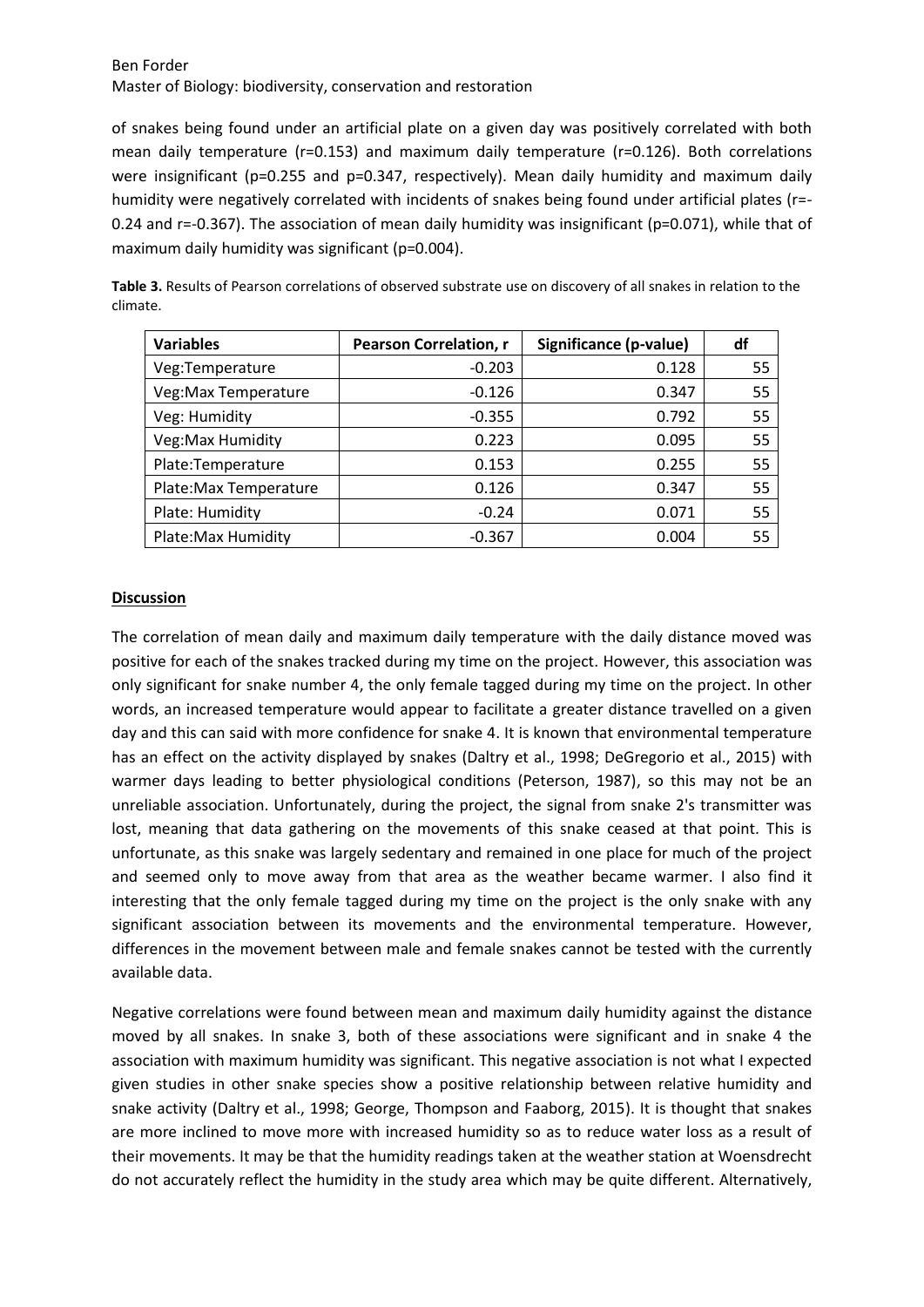of snakes being found under an artificial plate on a given day was positively correlated with both mean daily temperature (r=0.153) and maximum daily temperature (r=0.126). Both correlations were insignificant (p=0.255 and p=0.347, respectively). Mean daily humidity and maximum daily humidity were negatively correlated with incidents of snakes being found under artificial plates (r=-0.24 and r=-0.367). The association of mean daily humidity was insignificant (p=0.071), while that of maximum daily humidity was significant (p=0.004).

| <b>Variables</b>       | <b>Pearson Correlation, r</b> | Significance (p-value) | df |
|------------------------|-------------------------------|------------------------|----|
| Veg:Temperature        | $-0.203$                      | 0.128                  | 55 |
| Veg: Max Temperature   | $-0.126$                      | 0.347                  | 55 |
| Veg: Humidity          | $-0.355$                      | 0.792                  | 55 |
| Veg: Max Humidity      | 0.223                         | 0.095                  | 55 |
| Plate:Temperature      | 0.153                         | 0.255                  | 55 |
| Plate: Max Temperature | 0.126                         | 0.347                  | 55 |
| Plate: Humidity        | $-0.24$                       | 0.071                  | 55 |
| Plate: Max Humidity    | $-0.367$                      | 0.004                  | 55 |

**Table 3.** Results of Pearson correlations of observed substrate use on discovery of all snakes in relation to the climate.

#### **Discussion**

The correlation of mean daily and maximum daily temperature with the daily distance moved was positive for each of the snakes tracked during my time on the project. However, this association was only significant for snake number 4, the only female tagged during my time on the project. In other words, an increased temperature would appear to facilitate a greater distance travelled on a given day and this can said with more confidence for snake 4. It is known that environmental temperature has an effect on the activity displayed by snakes (Daltry et al., 1998; DeGregorio et al., 2015) with warmer days leading to better physiological conditions (Peterson, 1987), so this may not be an unreliable association. Unfortunately, during the project, the signal from snake 2's transmitter was lost, meaning that data gathering on the movements of this snake ceased at that point. This is unfortunate, as this snake was largely sedentary and remained in one place for much of the project and seemed only to move away from that area as the weather became warmer. I also find it interesting that the only female tagged during my time on the project is the only snake with any significant association between its movements and the environmental temperature. However, differences in the movement between male and female snakes cannot be tested with the currently available data.

Negative correlations were found between mean and maximum daily humidity against the distance moved by all snakes. In snake 3, both of these associations were significant and in snake 4 the association with maximum humidity was significant. This negative association is not what I expected given studies in other snake species show a positive relationship between relative humidity and snake activity (Daltry et al., 1998; George, Thompson and Faaborg, 2015). It is thought that snakes are more inclined to move more with increased humidity so as to reduce water loss as a result of their movements. It may be that the humidity readings taken at the weather station at Woensdrecht do not accurately reflect the humidity in the study area which may be quite different. Alternatively,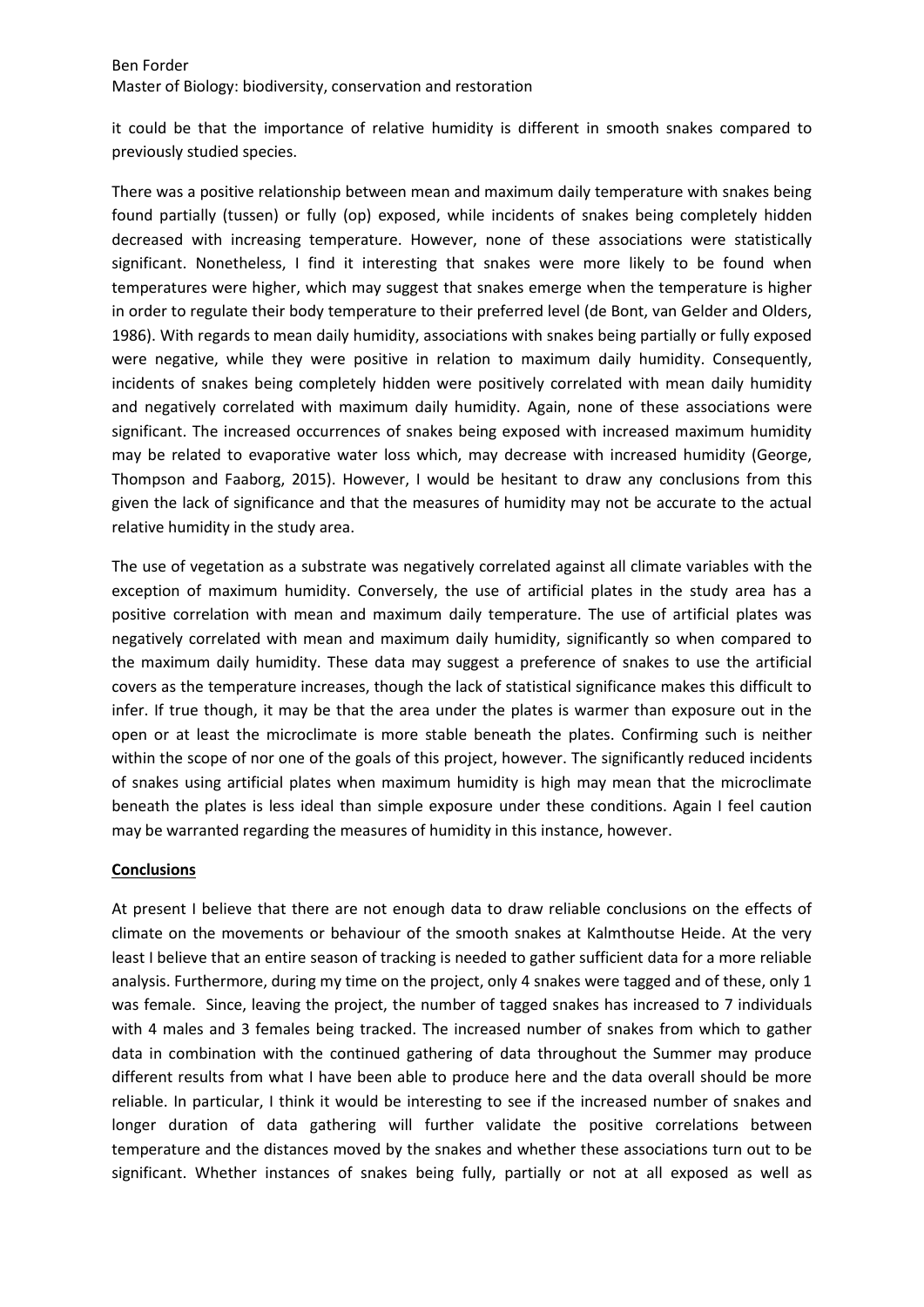it could be that the importance of relative humidity is different in smooth snakes compared to previously studied species.

There was a positive relationship between mean and maximum daily temperature with snakes being found partially (tussen) or fully (op) exposed, while incidents of snakes being completely hidden decreased with increasing temperature. However, none of these associations were statistically significant. Nonetheless, I find it interesting that snakes were more likely to be found when temperatures were higher, which may suggest that snakes emerge when the temperature is higher in order to regulate their body temperature to their preferred level (de Bont, van Gelder and Olders, 1986). With regards to mean daily humidity, associations with snakes being partially or fully exposed were negative, while they were positive in relation to maximum daily humidity. Consequently, incidents of snakes being completely hidden were positively correlated with mean daily humidity and negatively correlated with maximum daily humidity. Again, none of these associations were significant. The increased occurrences of snakes being exposed with increased maximum humidity may be related to evaporative water loss which, may decrease with increased humidity (George, Thompson and Faaborg, 2015). However, I would be hesitant to draw any conclusions from this given the lack of significance and that the measures of humidity may not be accurate to the actual relative humidity in the study area.

The use of vegetation as a substrate was negatively correlated against all climate variables with the exception of maximum humidity. Conversely, the use of artificial plates in the study area has a positive correlation with mean and maximum daily temperature. The use of artificial plates was negatively correlated with mean and maximum daily humidity, significantly so when compared to the maximum daily humidity. These data may suggest a preference of snakes to use the artificial covers as the temperature increases, though the lack of statistical significance makes this difficult to infer. If true though, it may be that the area under the plates is warmer than exposure out in the open or at least the microclimate is more stable beneath the plates. Confirming such is neither within the scope of nor one of the goals of this project, however. The significantly reduced incidents of snakes using artificial plates when maximum humidity is high may mean that the microclimate beneath the plates is less ideal than simple exposure under these conditions. Again I feel caution may be warranted regarding the measures of humidity in this instance, however.

## **Conclusions**

At present I believe that there are not enough data to draw reliable conclusions on the effects of climate on the movements or behaviour of the smooth snakes at Kalmthoutse Heide. At the very least I believe that an entire season of tracking is needed to gather sufficient data for a more reliable analysis. Furthermore, during my time on the project, only 4 snakes were tagged and of these, only 1 was female. Since, leaving the project, the number of tagged snakes has increased to 7 individuals with 4 males and 3 females being tracked. The increased number of snakes from which to gather data in combination with the continued gathering of data throughout the Summer may produce different results from what I have been able to produce here and the data overall should be more reliable. In particular, I think it would be interesting to see if the increased number of snakes and longer duration of data gathering will further validate the positive correlations between temperature and the distances moved by the snakes and whether these associations turn out to be significant. Whether instances of snakes being fully, partially or not at all exposed as well as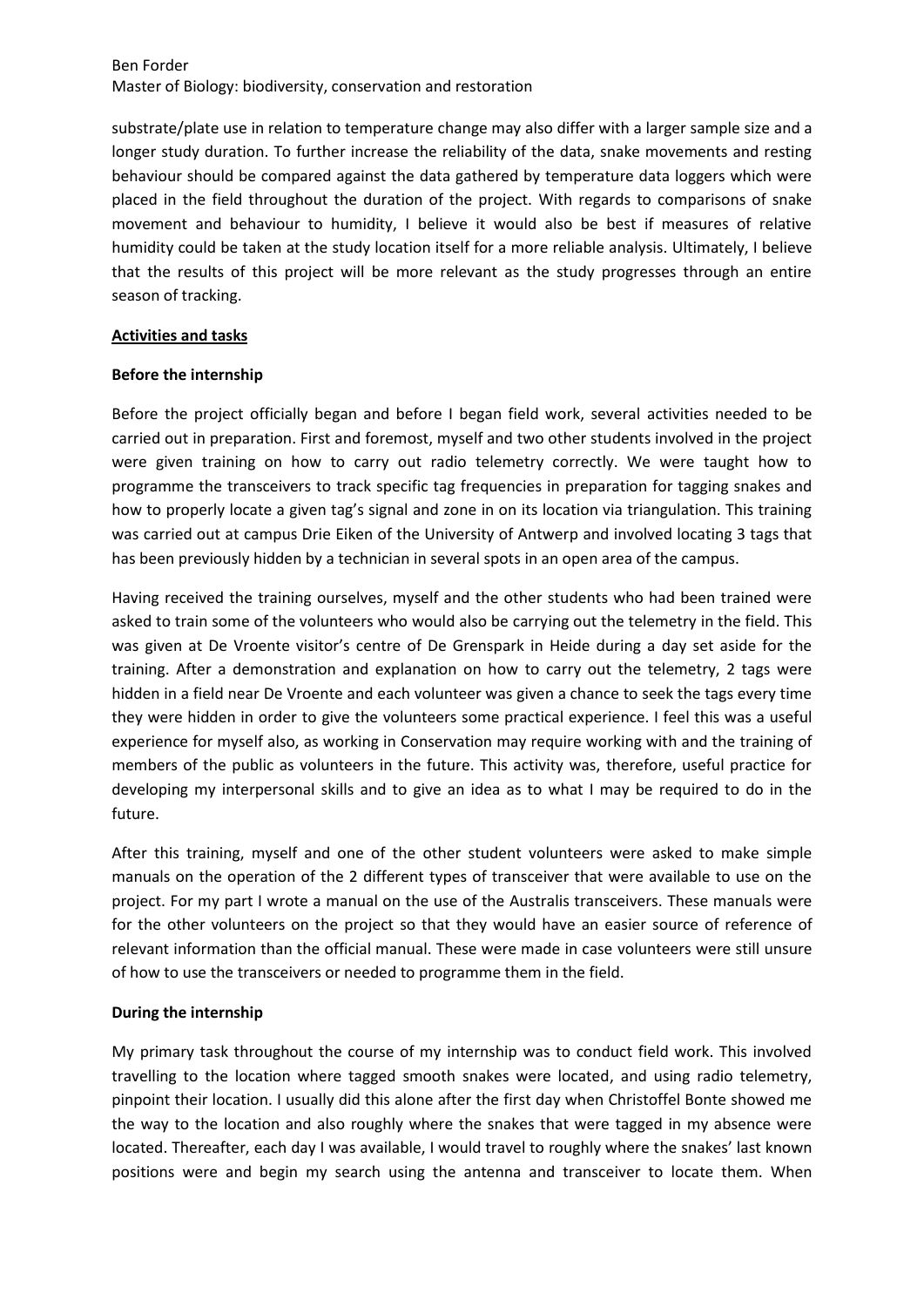substrate/plate use in relation to temperature change may also differ with a larger sample size and a longer study duration. To further increase the reliability of the data, snake movements and resting behaviour should be compared against the data gathered by temperature data loggers which were placed in the field throughout the duration of the project. With regards to comparisons of snake movement and behaviour to humidity, I believe it would also be best if measures of relative humidity could be taken at the study location itself for a more reliable analysis. Ultimately, I believe that the results of this project will be more relevant as the study progresses through an entire season of tracking.

#### **Activities and tasks**

### **Before the internship**

Before the project officially began and before I began field work, several activities needed to be carried out in preparation. First and foremost, myself and two other students involved in the project were given training on how to carry out radio telemetry correctly. We were taught how to programme the transceivers to track specific tag frequencies in preparation for tagging snakes and how to properly locate a given tag's signal and zone in on its location via triangulation. This training was carried out at campus Drie Eiken of the University of Antwerp and involved locating 3 tags that has been previously hidden by a technician in several spots in an open area of the campus.

Having received the training ourselves, myself and the other students who had been trained were asked to train some of the volunteers who would also be carrying out the telemetry in the field. This was given at De Vroente visitor's centre of De Grenspark in Heide during a day set aside for the training. After a demonstration and explanation on how to carry out the telemetry, 2 tags were hidden in a field near De Vroente and each volunteer was given a chance to seek the tags every time they were hidden in order to give the volunteers some practical experience. I feel this was a useful experience for myself also, as working in Conservation may require working with and the training of members of the public as volunteers in the future. This activity was, therefore, useful practice for developing my interpersonal skills and to give an idea as to what I may be required to do in the future.

After this training, myself and one of the other student volunteers were asked to make simple manuals on the operation of the 2 different types of transceiver that were available to use on the project. For my part I wrote a manual on the use of the Australis transceivers. These manuals were for the other volunteers on the project so that they would have an easier source of reference of relevant information than the official manual. These were made in case volunteers were still unsure of how to use the transceivers or needed to programme them in the field.

## **During the internship**

My primary task throughout the course of my internship was to conduct field work. This involved travelling to the location where tagged smooth snakes were located, and using radio telemetry, pinpoint their location. I usually did this alone after the first day when Christoffel Bonte showed me the way to the location and also roughly where the snakes that were tagged in my absence were located. Thereafter, each day I was available, I would travel to roughly where the snakes' last known positions were and begin my search using the antenna and transceiver to locate them. When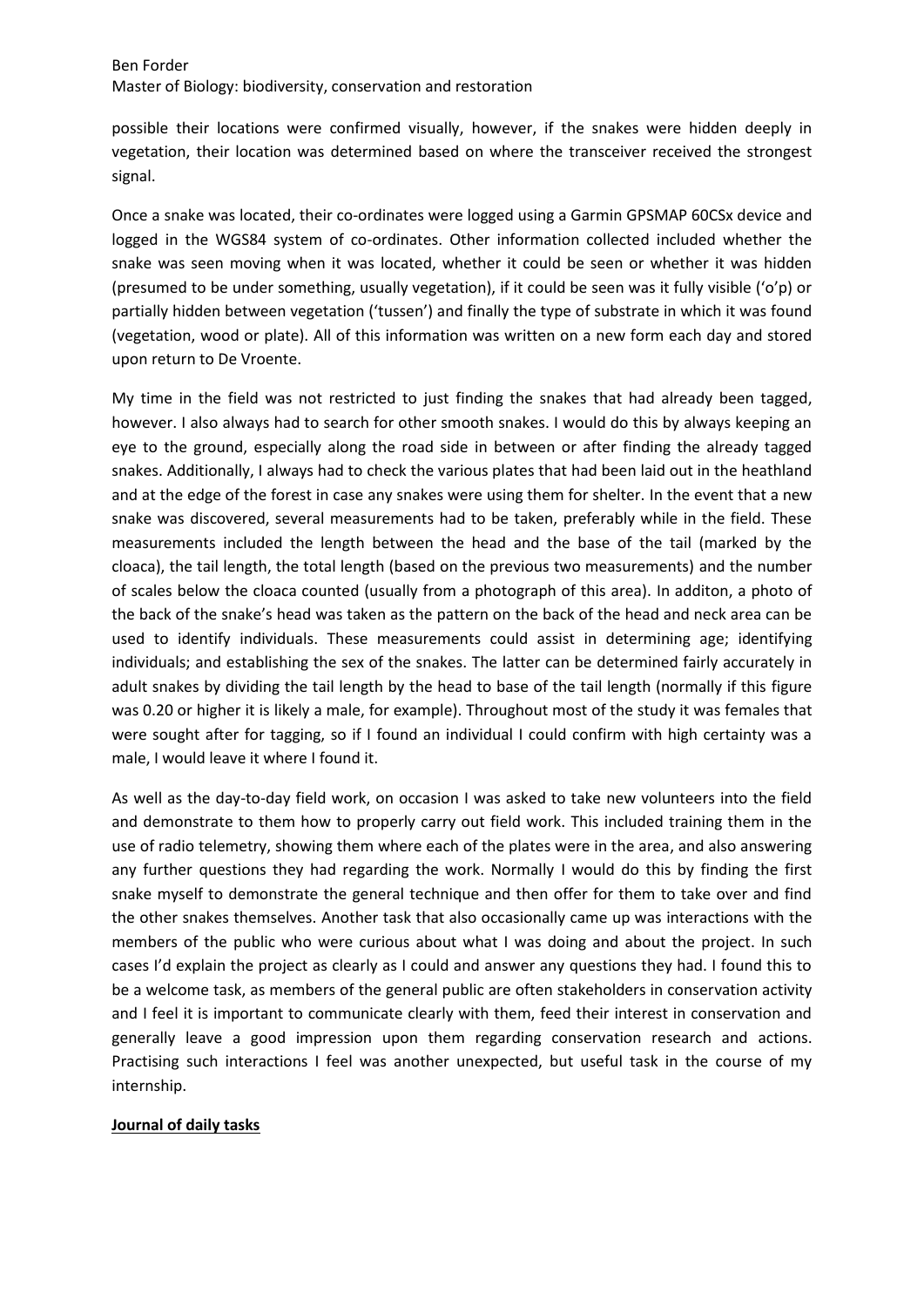possible their locations were confirmed visually, however, if the snakes were hidden deeply in vegetation, their location was determined based on where the transceiver received the strongest signal.

Once a snake was located, their co-ordinates were logged using a Garmin GPSMAP 60CSx device and logged in the WGS84 system of co-ordinates. Other information collected included whether the snake was seen moving when it was located, whether it could be seen or whether it was hidden (presumed to be under something, usually vegetation), if it could be seen was it fully visible ('o'p) or partially hidden between vegetation ('tussen') and finally the type of substrate in which it was found (vegetation, wood or plate). All of this information was written on a new form each day and stored upon return to De Vroente.

My time in the field was not restricted to just finding the snakes that had already been tagged, however. I also always had to search for other smooth snakes. I would do this by always keeping an eye to the ground, especially along the road side in between or after finding the already tagged snakes. Additionally, I always had to check the various plates that had been laid out in the heathland and at the edge of the forest in case any snakes were using them for shelter. In the event that a new snake was discovered, several measurements had to be taken, preferably while in the field. These measurements included the length between the head and the base of the tail (marked by the cloaca), the tail length, the total length (based on the previous two measurements) and the number of scales below the cloaca counted (usually from a photograph of this area). In additon, a photo of the back of the snake's head was taken as the pattern on the back of the head and neck area can be used to identify individuals. These measurements could assist in determining age; identifying individuals; and establishing the sex of the snakes. The latter can be determined fairly accurately in adult snakes by dividing the tail length by the head to base of the tail length (normally if this figure was 0.20 or higher it is likely a male, for example). Throughout most of the study it was females that were sought after for tagging, so if I found an individual I could confirm with high certainty was a male, I would leave it where I found it.

As well as the day-to-day field work, on occasion I was asked to take new volunteers into the field and demonstrate to them how to properly carry out field work. This included training them in the use of radio telemetry, showing them where each of the plates were in the area, and also answering any further questions they had regarding the work. Normally I would do this by finding the first snake myself to demonstrate the general technique and then offer for them to take over and find the other snakes themselves. Another task that also occasionally came up was interactions with the members of the public who were curious about what I was doing and about the project. In such cases I'd explain the project as clearly as I could and answer any questions they had. I found this to be a welcome task, as members of the general public are often stakeholders in conservation activity and I feel it is important to communicate clearly with them, feed their interest in conservation and generally leave a good impression upon them regarding conservation research and actions. Practising such interactions I feel was another unexpected, but useful task in the course of my internship.

## **Journal of daily tasks**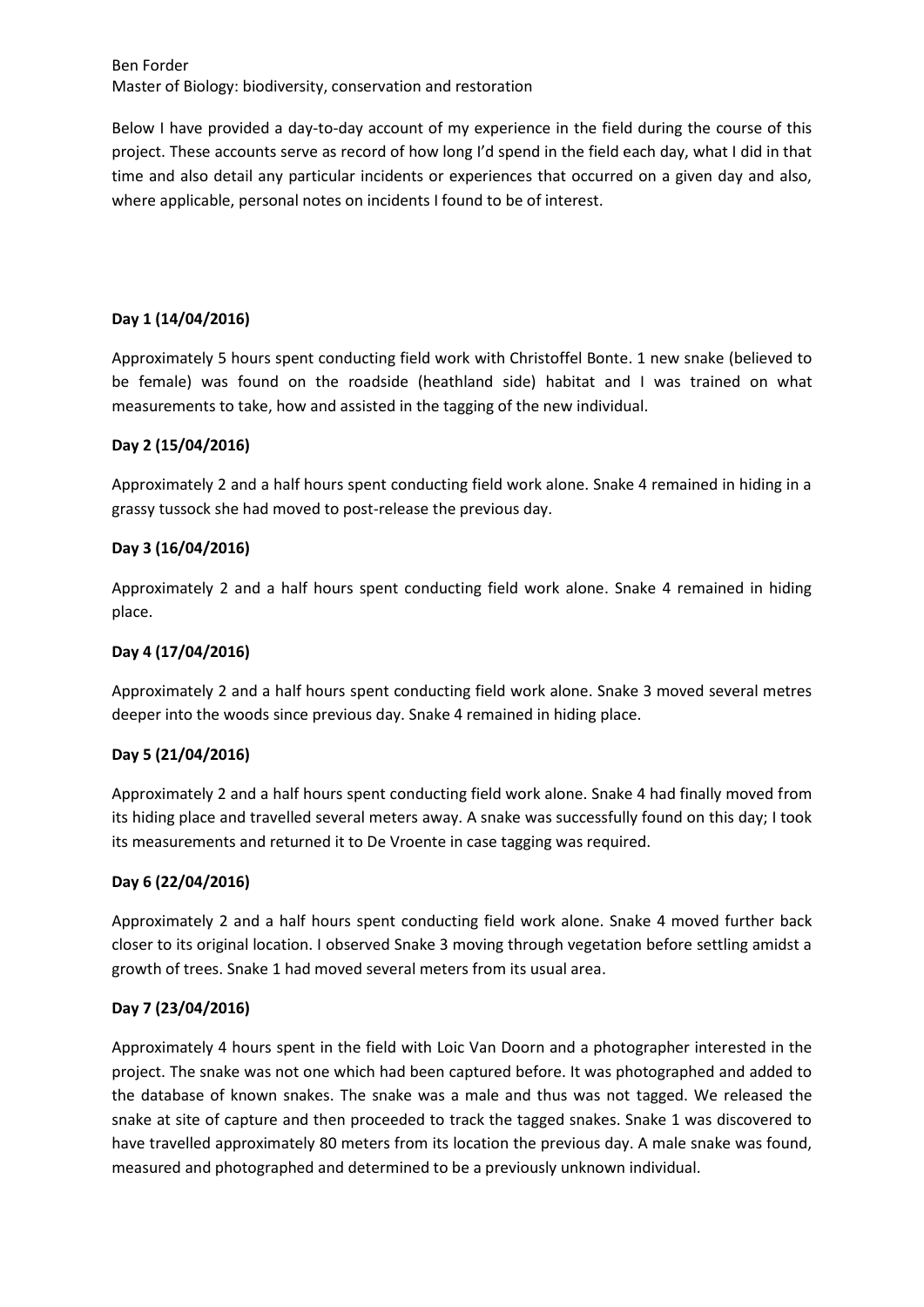Below I have provided a day-to-day account of my experience in the field during the course of this project. These accounts serve as record of how long I'd spend in the field each day, what I did in that time and also detail any particular incidents or experiences that occurred on a given day and also, where applicable, personal notes on incidents I found to be of interest.

## **Day 1 (14/04/2016)**

Approximately 5 hours spent conducting field work with Christoffel Bonte. 1 new snake (believed to be female) was found on the roadside (heathland side) habitat and I was trained on what measurements to take, how and assisted in the tagging of the new individual.

### **Day 2 (15/04/2016)**

Approximately 2 and a half hours spent conducting field work alone. Snake 4 remained in hiding in a grassy tussock she had moved to post-release the previous day.

### **Day 3 (16/04/2016)**

Approximately 2 and a half hours spent conducting field work alone. Snake 4 remained in hiding place.

### **Day 4 (17/04/2016)**

Approximately 2 and a half hours spent conducting field work alone. Snake 3 moved several metres deeper into the woods since previous day. Snake 4 remained in hiding place.

#### **Day 5 (21/04/2016)**

Approximately 2 and a half hours spent conducting field work alone. Snake 4 had finally moved from its hiding place and travelled several meters away. A snake was successfully found on this day; I took its measurements and returned it to De Vroente in case tagging was required.

#### **Day 6 (22/04/2016)**

Approximately 2 and a half hours spent conducting field work alone. Snake 4 moved further back closer to its original location. I observed Snake 3 moving through vegetation before settling amidst a growth of trees. Snake 1 had moved several meters from its usual area.

#### **Day 7 (23/04/2016)**

Approximately 4 hours spent in the field with Loic Van Doorn and a photographer interested in the project. The snake was not one which had been captured before. It was photographed and added to the database of known snakes. The snake was a male and thus was not tagged. We released the snake at site of capture and then proceeded to track the tagged snakes. Snake 1 was discovered to have travelled approximately 80 meters from its location the previous day. A male snake was found, measured and photographed and determined to be a previously unknown individual.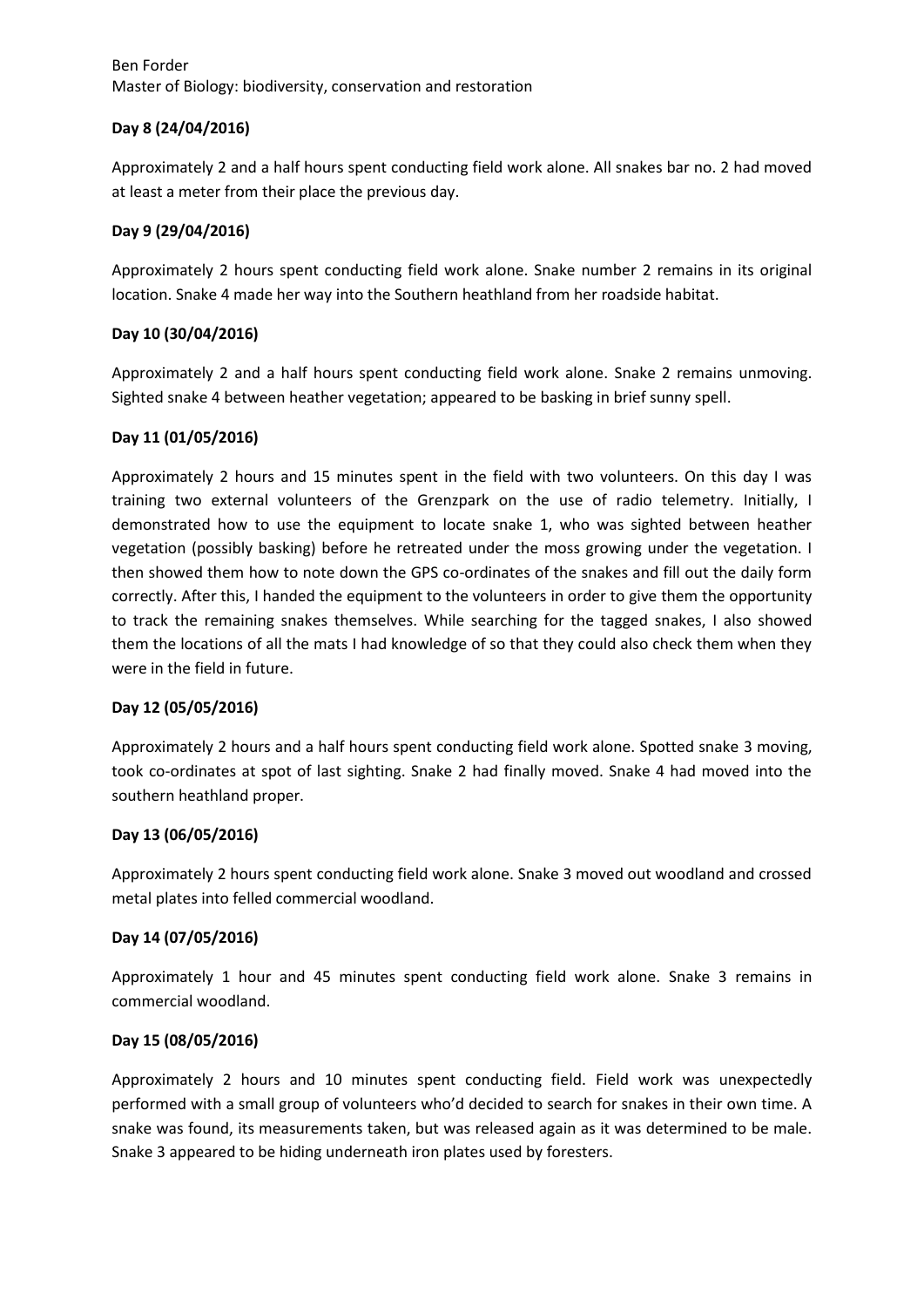## **Day 8 (24/04/2016)**

Approximately 2 and a half hours spent conducting field work alone. All snakes bar no. 2 had moved at least a meter from their place the previous day.

### **Day 9 (29/04/2016)**

Approximately 2 hours spent conducting field work alone. Snake number 2 remains in its original location. Snake 4 made her way into the Southern heathland from her roadside habitat.

## **Day 10 (30/04/2016)**

Approximately 2 and a half hours spent conducting field work alone. Snake 2 remains unmoving. Sighted snake 4 between heather vegetation; appeared to be basking in brief sunny spell.

### **Day 11 (01/05/2016)**

Approximately 2 hours and 15 minutes spent in the field with two volunteers. On this day I was training two external volunteers of the Grenzpark on the use of radio telemetry. Initially, I demonstrated how to use the equipment to locate snake 1, who was sighted between heather vegetation (possibly basking) before he retreated under the moss growing under the vegetation. I then showed them how to note down the GPS co-ordinates of the snakes and fill out the daily form correctly. After this, I handed the equipment to the volunteers in order to give them the opportunity to track the remaining snakes themselves. While searching for the tagged snakes, I also showed them the locations of all the mats I had knowledge of so that they could also check them when they were in the field in future.

#### **Day 12 (05/05/2016)**

Approximately 2 hours and a half hours spent conducting field work alone. Spotted snake 3 moving, took co-ordinates at spot of last sighting. Snake 2 had finally moved. Snake 4 had moved into the southern heathland proper.

## **Day 13 (06/05/2016)**

Approximately 2 hours spent conducting field work alone. Snake 3 moved out woodland and crossed metal plates into felled commercial woodland.

#### **Day 14 (07/05/2016)**

Approximately 1 hour and 45 minutes spent conducting field work alone. Snake 3 remains in commercial woodland.

## **Day 15 (08/05/2016)**

Approximately 2 hours and 10 minutes spent conducting field. Field work was unexpectedly performed with a small group of volunteers who'd decided to search for snakes in their own time. A snake was found, its measurements taken, but was released again as it was determined to be male. Snake 3 appeared to be hiding underneath iron plates used by foresters.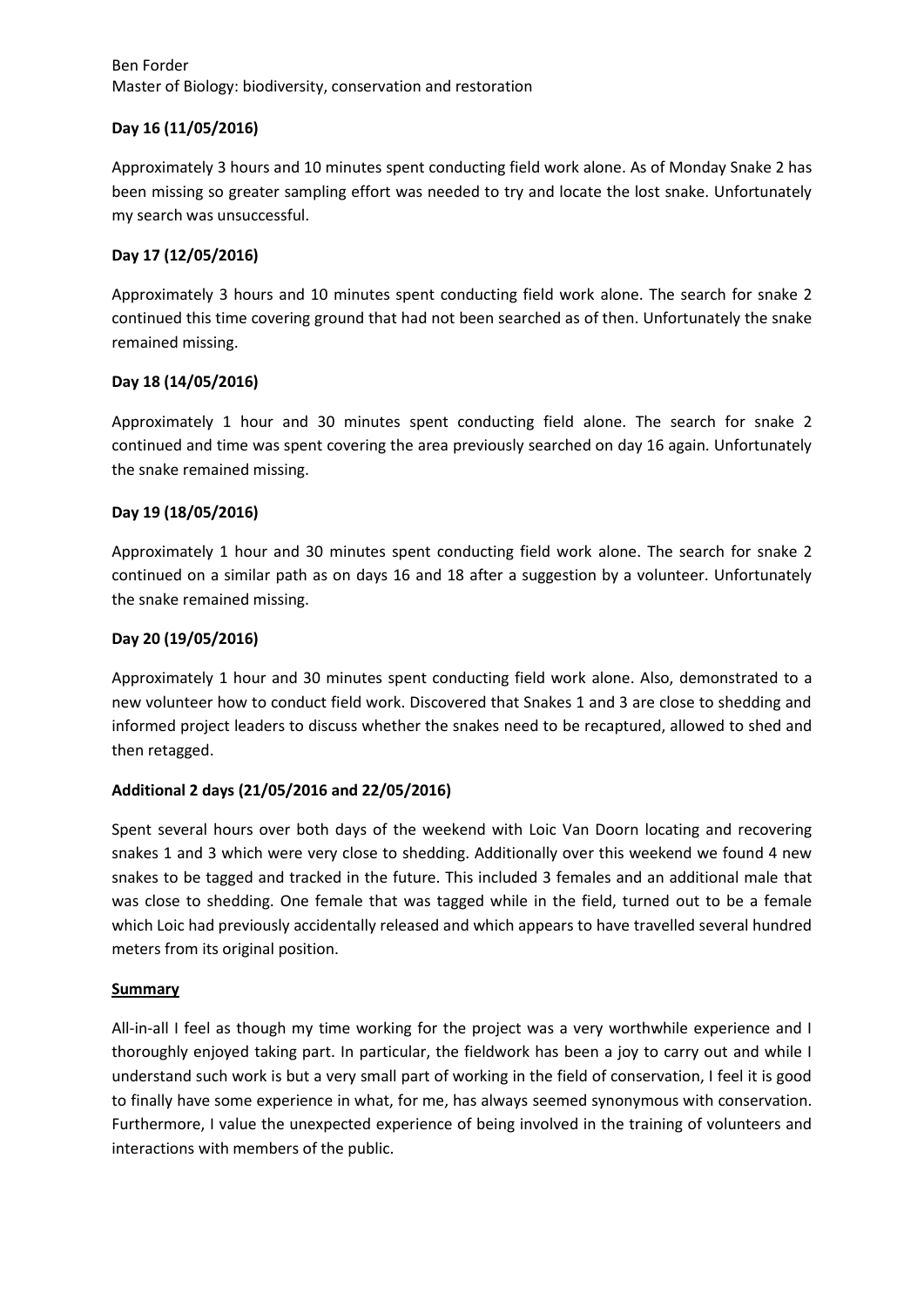## **Day 16 (11/05/2016)**

Approximately 3 hours and 10 minutes spent conducting field work alone. As of Monday Snake 2 has been missing so greater sampling effort was needed to try and locate the lost snake. Unfortunately my search was unsuccessful.

## **Day 17 (12/05/2016)**

Approximately 3 hours and 10 minutes spent conducting field work alone. The search for snake 2 continued this time covering ground that had not been searched as of then. Unfortunately the snake remained missing.

# **Day 18 (14/05/2016)**

Approximately 1 hour and 30 minutes spent conducting field alone. The search for snake 2 continued and time was spent covering the area previously searched on day 16 again. Unfortunately the snake remained missing.

## **Day 19 (18/05/2016)**

Approximately 1 hour and 30 minutes spent conducting field work alone. The search for snake 2 continued on a similar path as on days 16 and 18 after a suggestion by a volunteer. Unfortunately the snake remained missing.

## **Day 20 (19/05/2016)**

Approximately 1 hour and 30 minutes spent conducting field work alone. Also, demonstrated to a new volunteer how to conduct field work. Discovered that Snakes 1 and 3 are close to shedding and informed project leaders to discuss whether the snakes need to be recaptured, allowed to shed and then retagged.

# **Additional 2 days (21/05/2016 and 22/05/2016)**

Spent several hours over both days of the weekend with Loic Van Doorn locating and recovering snakes 1 and 3 which were very close to shedding. Additionally over this weekend we found 4 new snakes to be tagged and tracked in the future. This included 3 females and an additional male that was close to shedding. One female that was tagged while in the field, turned out to be a female which Loic had previously accidentally released and which appears to have travelled several hundred meters from its original position.

## **Summary**

All-in-all I feel as though my time working for the project was a very worthwhile experience and I thoroughly enjoyed taking part. In particular, the fieldwork has been a joy to carry out and while I understand such work is but a very small part of working in the field of conservation, I feel it is good to finally have some experience in what, for me, has always seemed synonymous with conservation. Furthermore, I value the unexpected experience of being involved in the training of volunteers and interactions with members of the public.